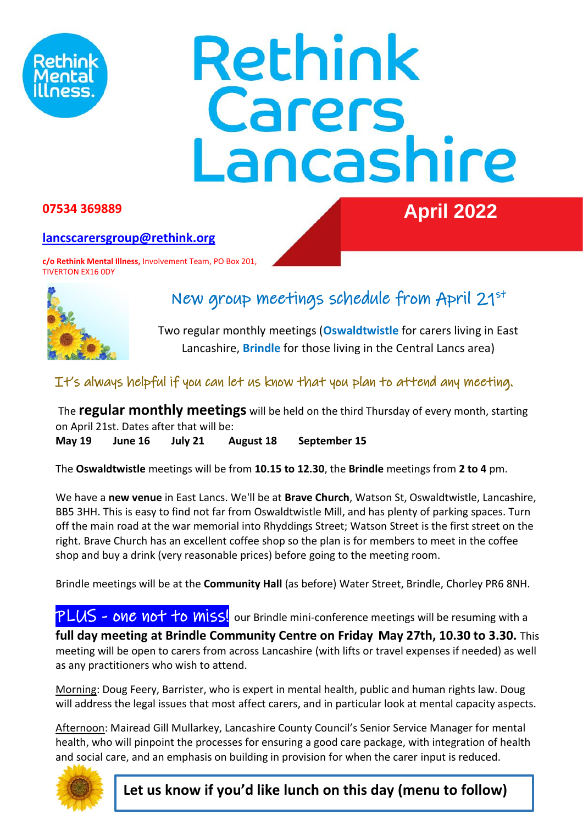

# Rethink **Carers**<br>Lancashire

### **07534 369889 April 2022**

#### **[lancscarersgroup@rethink.org](mailto:lancscarersgroup@rethink.org)**

**c/o Rethink Mental Illness,** Involvement Team, PO Box 201, TIVERTON EX16 0DY



## New group meetings schedule from April 21st

Two regular monthly meetings (**Oswaldtwistle** for carers living in East Lancashire, **Brindle** for those living in the Central Lancs area)

#### It's always helpful if you can let us know that you plan to attend any meeting.

The **regular monthly meetings** will be held on the third Thursday of every month, starting on April 21st. Dates after that will be:

**May 19 June 16 July 21 August 18 September 15**

The **Oswaldtwistle** meetings will be from **10.15 to 12.30**, the **Brindle** meetings from **2 to 4** pm.

We have a **new venue** in East Lancs. We'll be at **Brave Church**, Watson St, Oswaldtwistle, Lancashire, BB5 3HH. This is easy to find not far from Oswaldtwistle Mill, and has plenty of parking spaces. Turn off the main road at the war memorial into Rhyddings Street; Watson Street is the first street on the right. Brave Church has an excellent coffee shop so the plan is for members to meet in the coffee shop and buy a drink (very reasonable prices) before going to the meeting room.

Brindle meetings will be at the **Community Hall** (as before) Water Street, Brindle, Chorley PR6 8NH.

PLUS - one not to miss! our Brindle mini-conference meetings will be resuming with a **full day meeting at Brindle Community Centre on Friday May 27th, 10.30 to 3.30.** This meeting will be open to carers from across Lancashire (with lifts or travel expenses if needed) as well as any practitioners who wish to attend.

Morning: Doug Feery, Barrister, who is expert in mental health, public and human rights law. Doug will address the legal issues that most affect carers, and in particular look at mental capacity aspects.

Afternoon: Mairead Gill Mullarkey, Lancashire County Council's Senior Service Manager for mental health, who will pinpoint the processes for ensuring a good care package, with integration of health and social care, and an emphasis on building in provision for when the carer input is reduced.



**Let us know if you'd like lunch on this day (menu to follow)**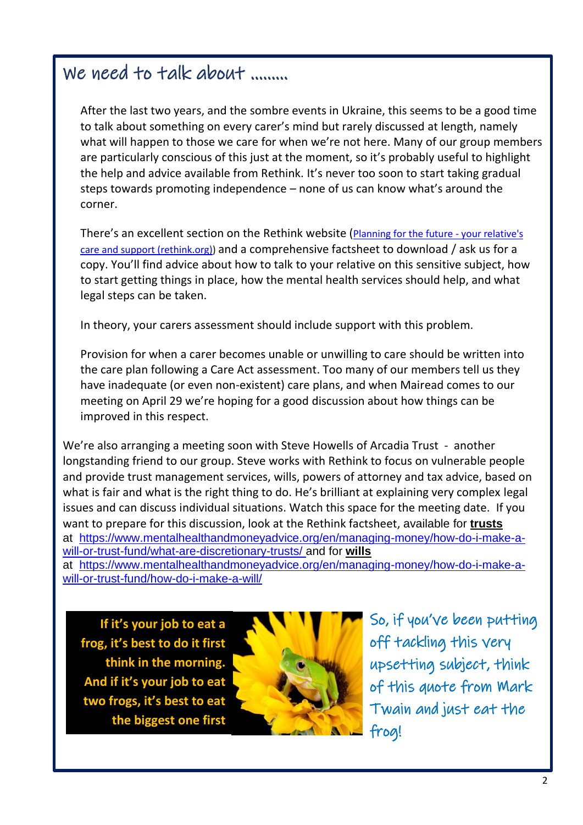## We need to talk about ………

After the last two years, and the sombre events in Ukraine, this seems to be a good time to talk about something on every carer's mind but rarely discussed at length, namely what will happen to those we care for when we're not here. Many of our group members are particularly conscious of this just at the moment, so it's probably useful to highlight the help and advice available from Rethink. It's never too soon to start taking gradual steps towards promoting independence – none of us can know what's around the corner.

There's an excellent section on the Rethink website ([Planning for the future -](https://www.rethink.org/advice-and-information/carers-hub/planning-for-the-future-your-relatives-care-and-support/) your relative's [care and support \(rethink.org\)\)](https://www.rethink.org/advice-and-information/carers-hub/planning-for-the-future-your-relatives-care-and-support/) and a comprehensive factsheet to download / ask us for a copy. You'll find advice about how to talk to your relative on this sensitive subject, how to start getting things in place, how the mental health services should help, and what legal steps can be taken.

In theory, your carers assessment should include support with this problem.

Provision for when a carer becomes unable or unwilling to care should be written into the care plan following a Care Act assessment. Too many of our members tell us they have inadequate (or even non-existent) care plans, and when Mairead comes to our meeting on April 29 we're hoping for a good discussion about how things can be improved in this respect.

We're also arranging a meeting soon with Steve Howells of Arcadia Trust - another longstanding friend to our group. Steve works with Rethink to focus on vulnerable people and provide trust management services, wills, powers of attorney and tax advice, based on what is fair and what is the right thing to do. He's brilliant at explaining very complex legal issues and can discuss individual situations. Watch this space for the meeting date. If you want to prepare for this discussion, look at the Rethink factsheet, available for **trusts** at [https://www.mentalhealthandmoneyadvice.org/en/managing-money/how-do-i-make-a](https://www.mentalhealthandmoneyadvice.org/en/managing-money/how-do-i-make-a-will-or-trust-fund/what-are-discretionary-trusts/)[will-or-trust-fund/what-are-discretionary-trusts/](https://www.mentalhealthandmoneyadvice.org/en/managing-money/how-do-i-make-a-will-or-trust-fund/what-are-discretionary-trusts/) and for **wills**

at [https://www.mentalhealthandmoneyadvice.org/en/managing-money/how-do-i-make-a](https://protect-eu.mimecast.com/s/LDz6Cwm9QTjKqkUxg9vG?domain=mentalhealthandmoneyadvice.org/)[will-or-trust-fund/how-do-i-make-a-will/](https://protect-eu.mimecast.com/s/LDz6Cwm9QTjKqkUxg9vG?domain=mentalhealthandmoneyadvice.org/)

ı **If it's your job to eat a frog, it's best to do it first think in the morning. And if it's your job to eat two frogs, it's best to eat the biggest one first**



So, if you've been putting off tackling this very upsetting subject, think of this quote from Mark Twain and just eat the frog!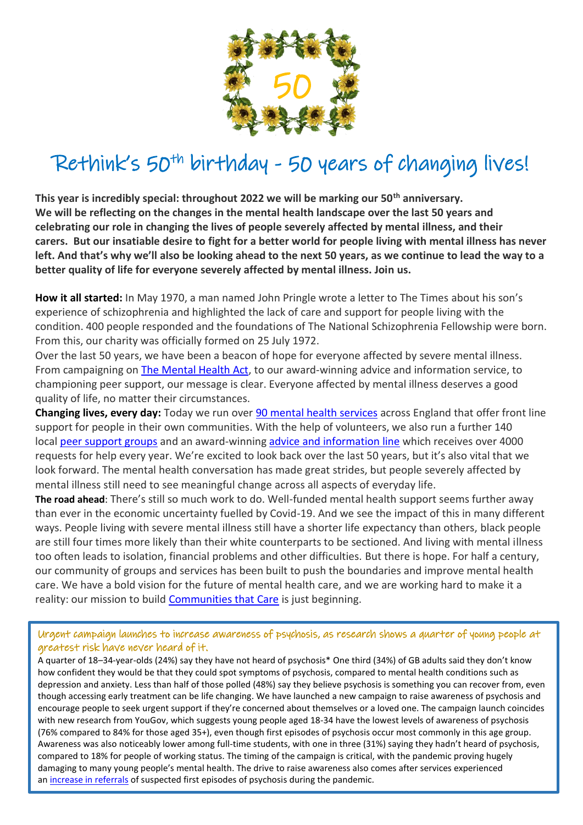

# Rethink's 50<sup>th</sup> birthday - 50 years of changing lives!

**This year is incredibly special: throughout 2022 we will be marking our 50th anniversary. We will be reflecting on the changes in the mental health landscape over the last 50 years and celebrating our role in changing the lives of people severely affected by mental illness, and their carers. But our insatiable desire to fight for a better world for people living with mental illness has never left. And that's why we'll also be looking ahead to the next 50 years, as we continue to lead the way to a better quality of life for everyone severely affected by mental illness. Join us.**

**How it all started:** In May 1970, a man named John Pringle wrote a letter to The Times about his son's experience of schizophrenia and highlighted the lack of care and support for people living with the condition. 400 people responded and the foundations of The National Schizophrenia Fellowship were born. From this, our charity was officially formed on 25 July 1972.

Over the last 50 years, we have been a beacon of hope for everyone affected by severe mental illness. From campaigning on [The Mental Health Act,](https://www.rethink.org/get-involved/campaign-with-us/rights-involvement-and-co-production/act-for-mental-health/) to our award-winning advice and information service, to championing peer support, our message is clear. Everyone affected by mental illness deserves a good quality of life, no matter their circumstances.

**Changing lives, every day:** Today we run over [90 mental health services](https://www.rethink.org/help-in-your-area/about-services-and-groups/) across England that offer front line support for people in their own communities. With the help of volunteers, we also run a further 140 local [peer support groups](https://www.rethink.org/help-in-your-area/support-groups/) and an award-winning [advice and information line](https://www.rethink.org/aboutus/what-we-do/advice-and-information-service/contact-our-advice-information-service/) which receives over 4000 requests for help every year. We're excited to look back over the last 50 years, but it's also vital that we look forward. The mental health conversation has made great strides, but people severely affected by mental illness still need to see meaningful change across all aspects of everyday life.

**The road ahead**: There's still so much work to do. Well-funded mental health support seems further away than ever in the economic uncertainty fuelled by Covid-19. And we see the impact of this in many different ways. People living with severe mental illness still have a shorter life expectancy than others, black people are still four times more likely than their white counterparts to be sectioned. And living with mental illness too often leads to isolation, financial problems and other difficulties. But there is hope. For half a century, our community of groups and services has been built to push the boundaries and improve mental health care. We have a bold vision for the future of mental health care, and we are working hard to make it a reality: our mission to build [Communities that Care](https://www.rethink.org/get-involved/campaign-with-us/resources-and-reports/communities-that-care/) is just beginning.

Urgent campaign launches to increase awareness of psychosis, as research shows a quarter of young people at greatest risk have never heard of it.

A quarter of 18–34-year-olds (24%) say they have not heard of psychosis\* One third (34%) of GB adults said they don't know how confident they would be that they could spot symptoms of psychosis, compared to mental health conditions such as depression and anxiety. Less than half of those polled (48%) say they believe psychosis is something you can recover from, even though accessing early treatment can be life changing. We have launched a new campaign to raise awareness of psychosis and encourage people to seek urgent support if they're concerned about themselves or a loved one. The campaign launch coincides with new research from YouGov, which suggests young people aged 18-34 have the lowest levels of awareness of psychosis (76% compared to 84% for those aged 35+), even though first episodes of psychosis occur most commonly in this age group. Awareness was also noticeably lower among full-time students, with one in three (31%) saying they hadn't heard of psychosis, compared to 18% for people of working status. The timing of the campaign is critical, with the pandemic proving hugely damaging to many young people's mental health. The drive to raise awareness also comes after services experienced an [increase in referrals](https://www.rethink.org/news-and-stories/news/2021/10/symptoms-of-psychosis-significantly-increased-during-pandemic/) of suspected first episodes of psychosis during the pandemic.